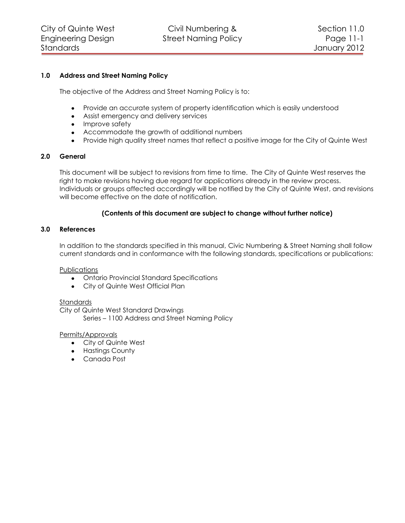# **1.0 Address and Street Naming Policy**

The objective of the Address and Street Naming Policy is to:

- Provide an accurate system of property identification which is easily understood
- Assist emergency and delivery services
- Improve safety
- Accommodate the growth of additional numbers
- Provide high quality street names that reflect a positive image for the City of Quinte West

# **2.0 General**

This document will be subject to revisions from time to time. The City of Quinte West reserves the right to make revisions having due regard for applications already in the review process. Individuals or groups affected accordingly will be notified by the City of Quinte West, and revisions will become effective on the date of notification.

# **(Contents of this document are subject to change without further notice)**

# **3.0 References**

In addition to the standards specified in this manual, Civic Numbering & Street Naming shall follow current standards and in conformance with the following standards, specifications or publications:

**Publications** 

- Ontario Provincial Standard Specifications
- City of Quinte West Official Plan

## Standards

City of Quinte West Standard Drawings

Series – 1100 Address and Street Naming Policy

# Permits/Approvals

- City of Quinte West
- Hastings County
- Canada Post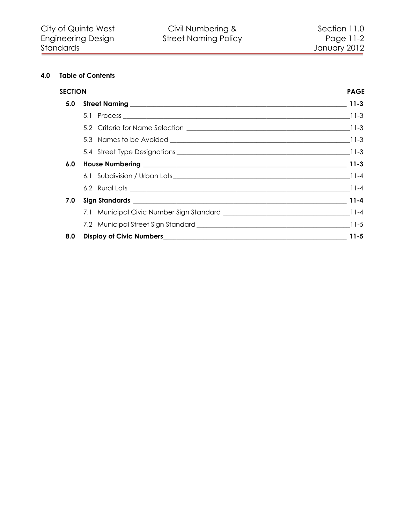# **4.0 Table of Contents**

| <b>SECTION</b> |  | <b>PAGE</b> |
|----------------|--|-------------|
|                |  |             |
|                |  |             |
|                |  |             |
|                |  |             |
|                |  |             |
|                |  |             |
|                |  |             |
|                |  |             |
|                |  |             |
|                |  |             |
|                |  |             |
| 8.0            |  |             |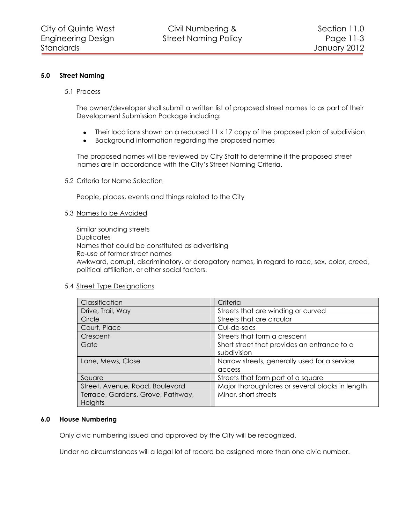## <span id="page-2-0"></span>**5.0 Street Naming**

## <span id="page-2-1"></span>5.1 Process

The owner/developer shall submit a written list of proposed street names to as part of their Development Submission Package including:

- Their locations shown on a reduced 11 x 17 copy of the proposed plan of subdivision  $\bullet$
- $\bullet$ Background information regarding the proposed names

The proposed names will be reviewed by City Staff to determine if the proposed street names are in accordance with the City's Street Naming Criteria.

#### <span id="page-2-2"></span>5.2 Criteria for Name Selection

People, places, events and things related to the City

#### <span id="page-2-3"></span>5.3 Names to be Avoided

Similar sounding streets **Duplicates** Names that could be constituted as advertising Re-use of former street names Awkward, corrupt, discriminatory, or derogatory names, in regard to race, sex, color, creed, political affiliation, or other social factors.

## <span id="page-2-4"></span>5.4 Street Type Designations

| Classification                    | Criteria                                        |
|-----------------------------------|-------------------------------------------------|
| Drive, Trail, Way                 | Streets that are winding or curved              |
| Circle                            | Streets that are circular                       |
| Court, Place                      | Cul-de-sacs                                     |
| Crescent                          | Streets that form a crescent                    |
| Gate                              | Short street that provides an entrance to a     |
|                                   | subdivision                                     |
| Lane, Mews, Close                 | Narrow streets, generally used for a service    |
|                                   | access                                          |
| Square                            | Streets that form part of a square              |
| Street, Avenue, Road, Boulevard   | Major thoroughfares or several blocks in length |
| Terrace, Gardens, Grove, Pathway, | Minor, short streets                            |
| <b>Heights</b>                    |                                                 |

## <span id="page-2-5"></span>**6.0 House Numbering**

Only civic numbering issued and approved by the City will be recognized.

Under no circumstances will a legal lot of record be assigned more than one civic number.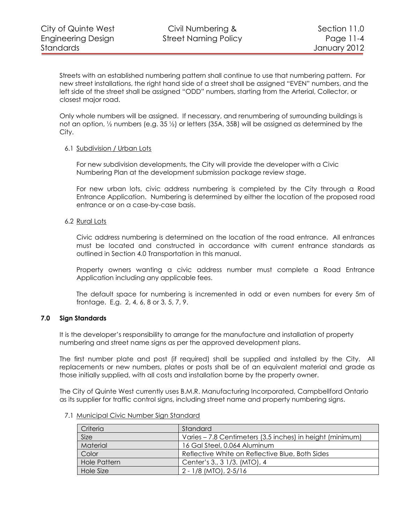Streets with an established numbering pattern shall continue to use that numbering pattern. For new street installations, the right hand side of a street shall be assigned "EVEN" numbers, and the left side of the street shall be assigned "ODD" numbers, starting from the Arterial, Collector, or closest major road.

Only whole numbers will be assigned. If necessary, and renumbering of surrounding buildings is not an option, ½ numbers (e.g. 35 ½) or letters (35A, 35B) will be assigned as determined by the City.

## <span id="page-3-0"></span>6.1 Subdivision / Urban Lots

For new subdivision developments, the City will provide the developer with a Civic Numbering Plan at the development submission package review stage.

For new urban lots, civic address numbering is completed by the City through a Road Entrance Application. Numbering is determined by either the location of the proposed road entrance or on a case-by-case basis.

# <span id="page-3-1"></span>6.2 Rural Lots

Civic address numbering is determined on the location of the road entrance. All entrances must be located and constructed in accordance with current entrance standards as outlined in Section 4.0 Transportation in this manual.

Property owners wanting a civic address number must complete a Road Entrance Application including any applicable fees.

The default space for numbering is incremented in odd or even numbers for every 5m of frontage. E.g. 2, 4, 6, 8 or 3, 5, 7, 9.

# **7.0 Sign Standards**

<span id="page-3-2"></span>It is the developer's responsibility to arrange for the manufacture and installation of property numbering and street name signs as per the approved development plans.

The first number plate and post (if required) shall be supplied and installed by the City. All replacements or new numbers, plates or posts shall be of an equivalent material and grade as those initially supplied, with all costs and installation borne by the property owner.

The City of Quinte West currently uses B.M.R. Manufacturing Incorporated, Campbellford Ontario as its supplier for traffic control signs, including street name and property numbering signs.

| Criteria            | Standard                                                  |
|---------------------|-----------------------------------------------------------|
| Size                | Varies - 7.8 Centimeters (3.5 inches) in height (minimum) |
| Material            | 16 Gal Steel, 0.064 Aluminum                              |
| Color               | Reflective White on Reflective Blue, Both Sides           |
| <b>Hole Pattern</b> | Center's 3., 3 1/3. (MTO), 4                              |
| Hole Size           | $2 - 1/8$ (MTO), $2 - 5/16$                               |

<span id="page-3-3"></span>7.1 Municipal Civic Number Sign Standard